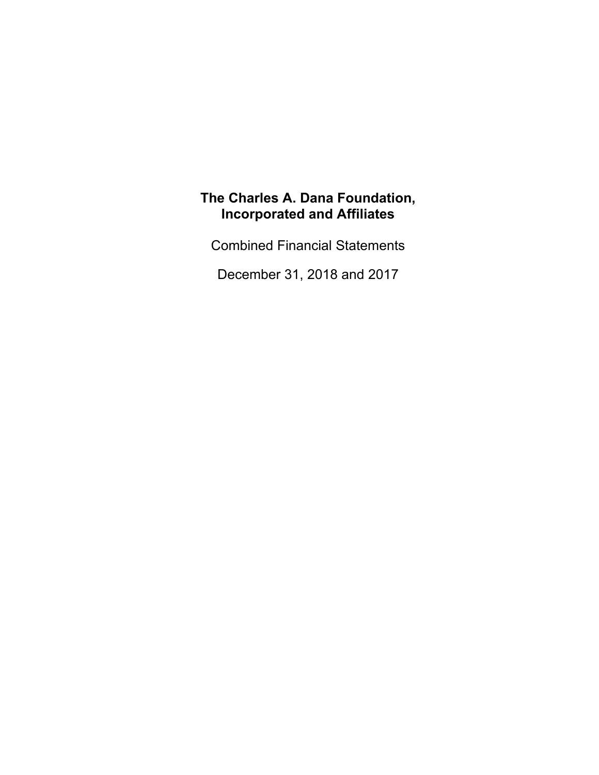Combined Financial Statements

December 31, 2018 and 2017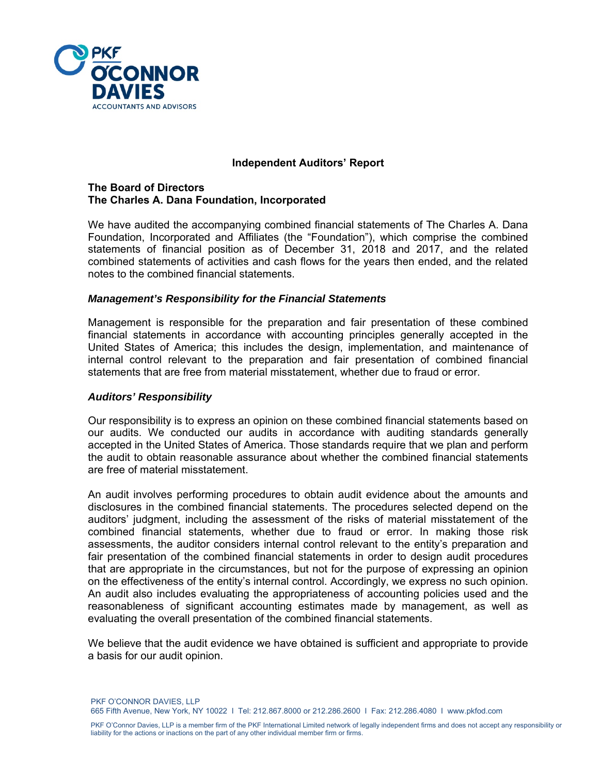

#### **Independent Auditors' Report**

#### **The Board of Directors The Charles A. Dana Foundation, Incorporated**

We have audited the accompanying combined financial statements of The Charles A. Dana Foundation, Incorporated and Affiliates (the "Foundation"), which comprise the combined statements of financial position as of December 31, 2018 and 2017, and the related combined statements of activities and cash flows for the years then ended, and the related notes to the combined financial statements.

#### *Management's Responsibility for the Financial Statements*

Management is responsible for the preparation and fair presentation of these combined financial statements in accordance with accounting principles generally accepted in the United States of America; this includes the design, implementation, and maintenance of internal control relevant to the preparation and fair presentation of combined financial statements that are free from material misstatement, whether due to fraud or error.

#### *Auditors' Responsibility*

Our responsibility is to express an opinion on these combined financial statements based on our audits. We conducted our audits in accordance with auditing standards generally accepted in the United States of America. Those standards require that we plan and perform the audit to obtain reasonable assurance about whether the combined financial statements are free of material misstatement.

An audit involves performing procedures to obtain audit evidence about the amounts and disclosures in the combined financial statements. The procedures selected depend on the auditors' judgment, including the assessment of the risks of material misstatement of the combined financial statements, whether due to fraud or error. In making those risk assessments, the auditor considers internal control relevant to the entity's preparation and fair presentation of the combined financial statements in order to design audit procedures that are appropriate in the circumstances, but not for the purpose of expressing an opinion on the effectiveness of the entity's internal control. Accordingly, we express no such opinion. An audit also includes evaluating the appropriateness of accounting policies used and the reasonableness of significant accounting estimates made by management, as well as evaluating the overall presentation of the combined financial statements.

We believe that the audit evidence we have obtained is sufficient and appropriate to provide a basis for our audit opinion.

PKF O'CONNOR DAVIES, LLP 665 Fifth Avenue, New York, NY 10022 I Tel: 212.867.8000 or 212.286.2600 I Fax: 212.286.4080 I www.pkfod.com

PKF O'Connor Davies, LLP is a member firm of the PKF International Limited network of legally independent firms and does not accept any responsibility or liability for the actions or inactions on the part of any other individual member firm or firms.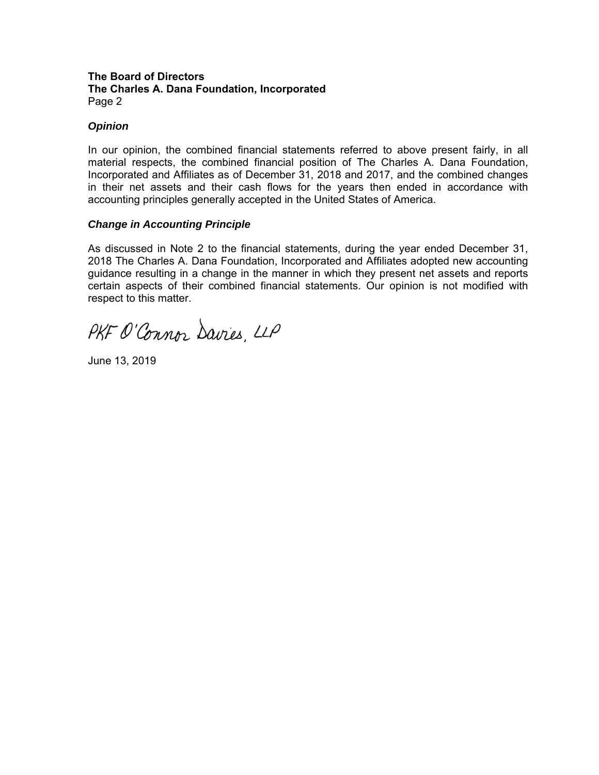#### **The Board of Directors The Charles A. Dana Foundation, Incorporated**  Page 2

## *Opinion*

In our opinion, the combined financial statements referred to above present fairly, in all material respects, the combined financial position of The Charles A. Dana Foundation, Incorporated and Affiliates as of December 31, 2018 and 2017, and the combined changes in their net assets and their cash flows for the years then ended in accordance with accounting principles generally accepted in the United States of America.

## *Change in Accounting Principle*

As discussed in Note 2 to the financial statements, during the year ended December 31, 2018 The Charles A. Dana Foundation, Incorporated and Affiliates adopted new accounting guidance resulting in a change in the manner in which they present net assets and reports certain aspects of their combined financial statements. Our opinion is not modified with respect to this matter.

PKF O'Connor Davies, LLP

June 13, 2019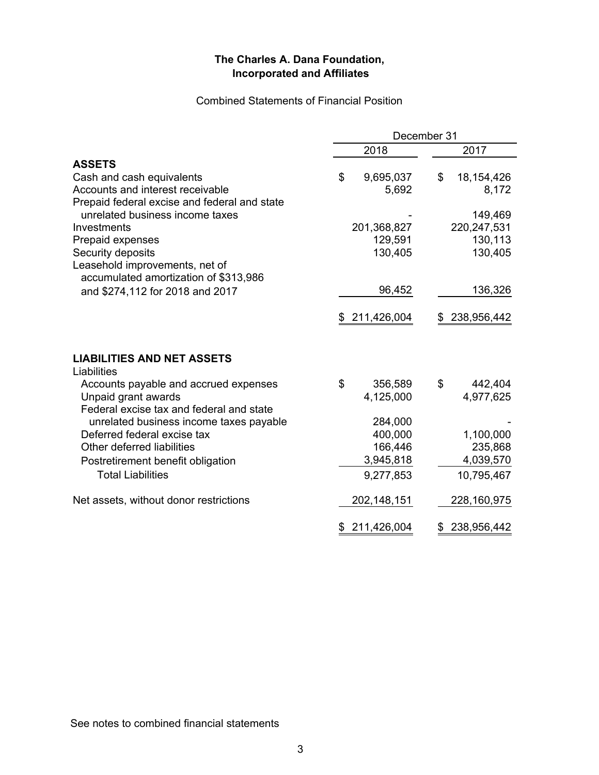## Combined Statements of Financial Position

|                                                                                 | December 31       |                   |
|---------------------------------------------------------------------------------|-------------------|-------------------|
|                                                                                 | 2018              | 2017              |
| <b>ASSETS</b>                                                                   |                   |                   |
| Cash and cash equivalents                                                       | \$<br>9,695,037   | \$<br>18,154,426  |
| Accounts and interest receivable                                                | 5,692             | 8,172             |
| Prepaid federal excise and federal and state<br>unrelated business income taxes |                   | 149,469           |
| Investments                                                                     | 201,368,827       | 220,247,531       |
| Prepaid expenses                                                                | 129,591           | 130,113           |
| Security deposits                                                               | 130,405           | 130,405           |
| Leasehold improvements, net of<br>accumulated amortization of \$313,986         |                   |                   |
| and \$274,112 for 2018 and 2017                                                 | 96,452            | 136,326           |
|                                                                                 |                   |                   |
|                                                                                 | \$211,426,004     | 238,956,442<br>\$ |
| <b>LIABILITIES AND NET ASSETS</b><br>Liabilities                                |                   |                   |
| Accounts payable and accrued expenses                                           | \$<br>356,589     | \$<br>442,404     |
| Unpaid grant awards                                                             | 4,125,000         | 4,977,625         |
| Federal excise tax and federal and state                                        |                   |                   |
| unrelated business income taxes payable                                         | 284,000           |                   |
| Deferred federal excise tax                                                     | 400,000           | 1,100,000         |
| Other deferred liabilities                                                      | 166,446           | 235,868           |
| Postretirement benefit obligation                                               | 3,945,818         | 4,039,570         |
| <b>Total Liabilities</b>                                                        | 9,277,853         | 10,795,467        |
| Net assets, without donor restrictions                                          | 202,148,151       | 228,160,975       |
|                                                                                 | 211,426,004<br>\$ | 238,956,442       |

See notes to combined financial statements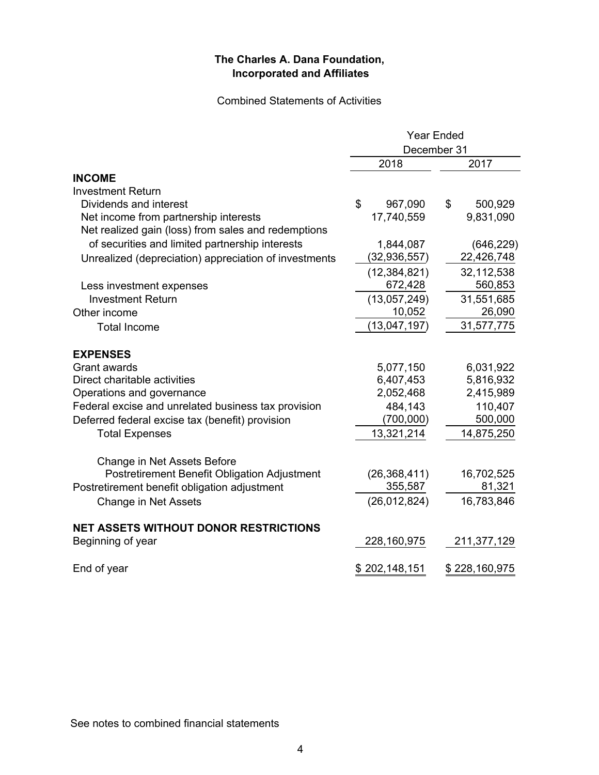## Combined Statements of Activities

|                                                       | <b>Year Ended</b> |               |  |
|-------------------------------------------------------|-------------------|---------------|--|
|                                                       | December 31       |               |  |
|                                                       | 2018              | 2017          |  |
| <b>INCOME</b>                                         |                   |               |  |
| <b>Investment Return</b>                              |                   |               |  |
| Dividends and interest                                | \$<br>967,090     | \$<br>500,929 |  |
| Net income from partnership interests                 | 17,740,559        | 9,831,090     |  |
| Net realized gain (loss) from sales and redemptions   |                   |               |  |
| of securities and limited partnership interests       | 1,844,087         | (646, 229)    |  |
| Unrealized (depreciation) appreciation of investments | (32, 936, 557)    | 22,426,748    |  |
|                                                       | (12, 384, 821)    | 32,112,538    |  |
| Less investment expenses                              | 672,428           | 560,853       |  |
| <b>Investment Return</b>                              | (13,057,249)      | 31,551,685    |  |
| Other income                                          | 10,052            | 26,090        |  |
| <b>Total Income</b>                                   | (13,047,197)      | 31,577,775    |  |
| <b>EXPENSES</b>                                       |                   |               |  |
| <b>Grant awards</b>                                   | 5,077,150         | 6,031,922     |  |
| Direct charitable activities                          | 6,407,453         | 5,816,932     |  |
| Operations and governance                             | 2,052,468         | 2,415,989     |  |
| Federal excise and unrelated business tax provision   | 484,143           | 110,407       |  |
| Deferred federal excise tax (benefit) provision       | (700,000)         | 500,000       |  |
| <b>Total Expenses</b>                                 | 13,321,214        | 14,875,250    |  |
| Change in Net Assets Before                           |                   |               |  |
| <b>Postretirement Benefit Obligation Adjustment</b>   | (26, 368, 411)    | 16,702,525    |  |
| Postretirement benefit obligation adjustment          | 355,587           | 81,321        |  |
| Change in Net Assets                                  | (26, 012, 824)    | 16,783,846    |  |
| <b>NET ASSETS WITHOUT DONOR RESTRICTIONS</b>          |                   |               |  |
| Beginning of year                                     | 228,160,975       | 211,377,129   |  |
| End of year                                           | \$202,148,151     | \$228,160,975 |  |

See notes to combined financial statements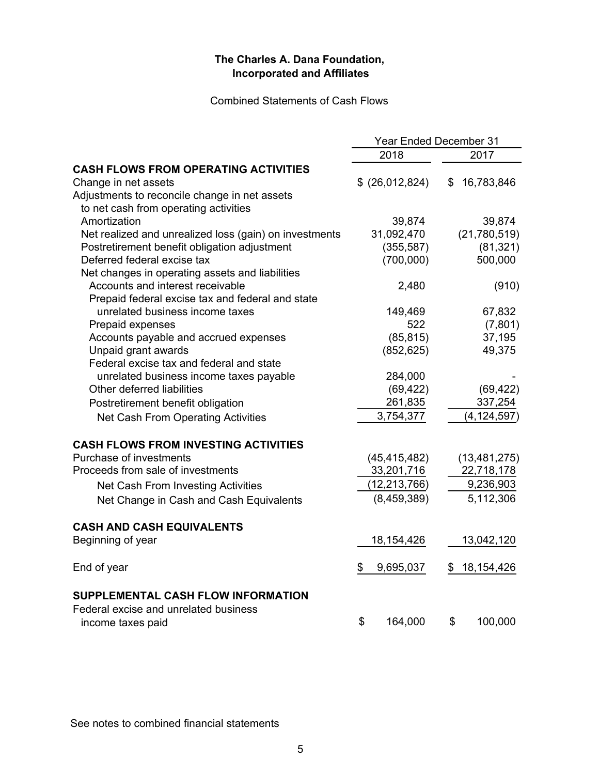Combined Statements of Cash Flows

|                                                        | <b>Year Ended December 31</b> |                    |
|--------------------------------------------------------|-------------------------------|--------------------|
|                                                        | 2018                          | 2017               |
| <b>CASH FLOWS FROM OPERATING ACTIVITIES</b>            |                               |                    |
| Change in net assets                                   | \$ (26,012,824)               | 16,783,846<br>\$   |
| Adjustments to reconcile change in net assets          |                               |                    |
| to net cash from operating activities                  |                               |                    |
| Amortization                                           | 39,874                        | 39,874             |
| Net realized and unrealized loss (gain) on investments | 31,092,470                    | (21,780,519)       |
| Postretirement benefit obligation adjustment           | (355, 587)                    | (81, 321)          |
| Deferred federal excise tax                            | (700,000)                     | 500,000            |
| Net changes in operating assets and liabilities        |                               |                    |
| Accounts and interest receivable                       | 2,480                         | (910)              |
| Prepaid federal excise tax and federal and state       |                               |                    |
| unrelated business income taxes                        | 149,469                       | 67,832             |
| Prepaid expenses                                       | 522                           | (7,801)            |
| Accounts payable and accrued expenses                  | (85, 815)                     | 37,195             |
| Unpaid grant awards                                    | (852, 625)                    | 49,375             |
| Federal excise tax and federal and state               |                               |                    |
| unrelated business income taxes payable                | 284,000                       |                    |
| Other deferred liabilities                             | (69, 422)                     | (69, 422)          |
| Postretirement benefit obligation                      | 261,835                       | 337,254            |
| Net Cash From Operating Activities                     | 3,754,377                     | (4, 124, 597)      |
| <b>CASH FLOWS FROM INVESTING ACTIVITIES</b>            |                               |                    |
| Purchase of investments                                | (45, 415, 482)                | (13, 481, 275)     |
| Proceeds from sale of investments                      | 33,201,716                    | 22,718,178         |
| Net Cash From Investing Activities                     | (12, 213, 766)                | 9,236,903          |
| Net Change in Cash and Cash Equivalents                | (8,459,389)                   | 5,112,306          |
| <b>CASH AND CASH EQUIVALENTS</b>                       |                               |                    |
| Beginning of year                                      | 18, 154, 426                  | 13,042,120         |
|                                                        |                               |                    |
| End of year                                            | \$<br>9,695,037               | 18, 154, 426<br>\$ |
| <b>SUPPLEMENTAL CASH FLOW INFORMATION</b>              |                               |                    |
| Federal excise and unrelated business                  |                               |                    |
| income taxes paid                                      | \$<br>164,000                 | \$<br>100,000      |

See notes to combined financial statements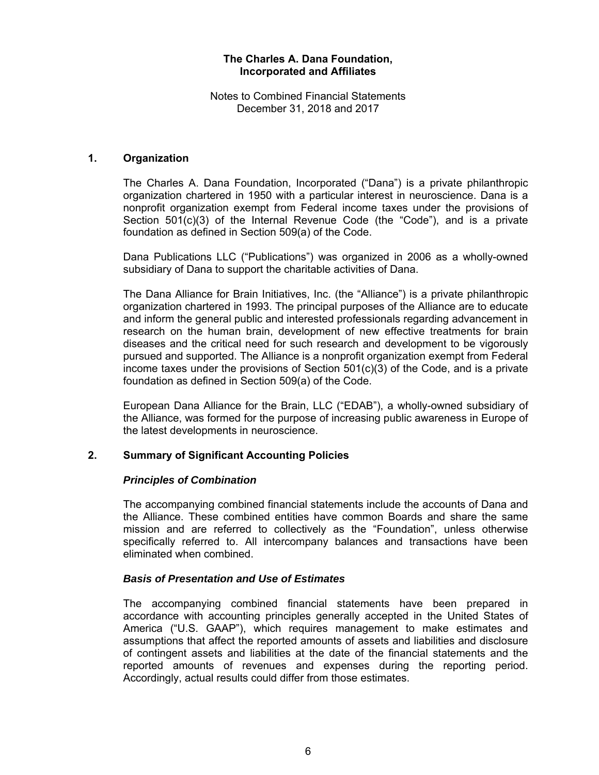Notes to Combined Financial Statements December 31, 2018 and 2017

## **1. Organization**

The Charles A. Dana Foundation, Incorporated ("Dana") is a private philanthropic organization chartered in 1950 with a particular interest in neuroscience. Dana is a nonprofit organization exempt from Federal income taxes under the provisions of Section  $501(c)(3)$  of the Internal Revenue Code (the "Code"), and is a private foundation as defined in Section 509(a) of the Code.

Dana Publications LLC ("Publications") was organized in 2006 as a wholly-owned subsidiary of Dana to support the charitable activities of Dana.

The Dana Alliance for Brain Initiatives, Inc. (the "Alliance") is a private philanthropic organization chartered in 1993. The principal purposes of the Alliance are to educate and inform the general public and interested professionals regarding advancement in research on the human brain, development of new effective treatments for brain diseases and the critical need for such research and development to be vigorously pursued and supported. The Alliance is a nonprofit organization exempt from Federal income taxes under the provisions of Section 501(c)(3) of the Code, and is a private foundation as defined in Section 509(a) of the Code.

European Dana Alliance for the Brain, LLC ("EDAB"), a wholly-owned subsidiary of the Alliance, was formed for the purpose of increasing public awareness in Europe of the latest developments in neuroscience.

#### **2. Summary of Significant Accounting Policies**

#### *Principles of Combination*

The accompanying combined financial statements include the accounts of Dana and the Alliance. These combined entities have common Boards and share the same mission and are referred to collectively as the "Foundation", unless otherwise specifically referred to. All intercompany balances and transactions have been eliminated when combined.

#### *Basis of Presentation and Use of Estimates*

The accompanying combined financial statements have been prepared in accordance with accounting principles generally accepted in the United States of America ("U.S. GAAP"), which requires management to make estimates and assumptions that affect the reported amounts of assets and liabilities and disclosure of contingent assets and liabilities at the date of the financial statements and the reported amounts of revenues and expenses during the reporting period. Accordingly, actual results could differ from those estimates.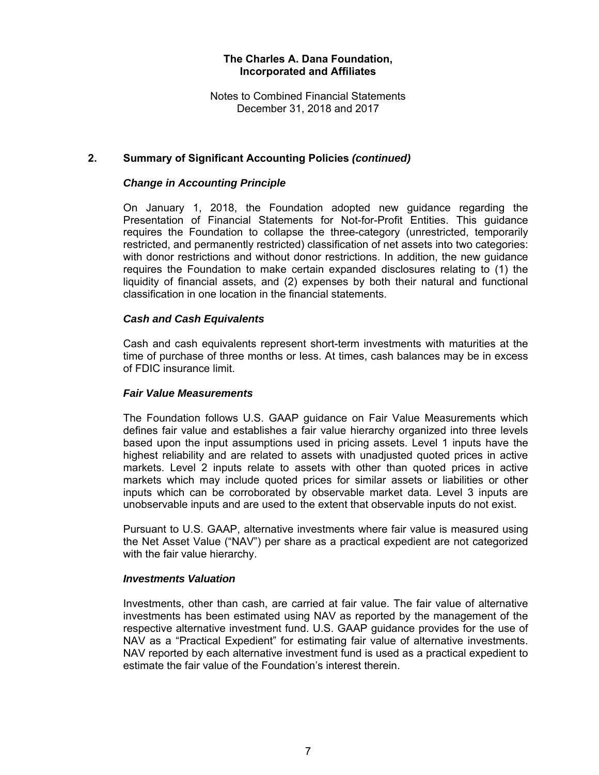Notes to Combined Financial Statements December 31, 2018 and 2017

## **2. Summary of Significant Accounting Policies** *(continued)*

### *Change in Accounting Principle*

On January 1, 2018, the Foundation adopted new guidance regarding the Presentation of Financial Statements for Not-for-Profit Entities. This guidance requires the Foundation to collapse the three-category (unrestricted, temporarily restricted, and permanently restricted) classification of net assets into two categories: with donor restrictions and without donor restrictions. In addition, the new guidance requires the Foundation to make certain expanded disclosures relating to (1) the liquidity of financial assets, and (2) expenses by both their natural and functional classification in one location in the financial statements.

## *Cash and Cash Equivalents*

Cash and cash equivalents represent short-term investments with maturities at the time of purchase of three months or less. At times, cash balances may be in excess of FDIC insurance limit.

#### *Fair Value Measurements*

The Foundation follows U.S. GAAP guidance on Fair Value Measurements which defines fair value and establishes a fair value hierarchy organized into three levels based upon the input assumptions used in pricing assets. Level 1 inputs have the highest reliability and are related to assets with unadjusted quoted prices in active markets. Level 2 inputs relate to assets with other than quoted prices in active markets which may include quoted prices for similar assets or liabilities or other inputs which can be corroborated by observable market data. Level 3 inputs are unobservable inputs and are used to the extent that observable inputs do not exist.

Pursuant to U.S. GAAP, alternative investments where fair value is measured using the Net Asset Value ("NAV") per share as a practical expedient are not categorized with the fair value hierarchy.

#### *Investments Valuation*

Investments, other than cash, are carried at fair value. The fair value of alternative investments has been estimated using NAV as reported by the management of the respective alternative investment fund. U.S. GAAP guidance provides for the use of NAV as a "Practical Expedient" for estimating fair value of alternative investments. NAV reported by each alternative investment fund is used as a practical expedient to estimate the fair value of the Foundation's interest therein.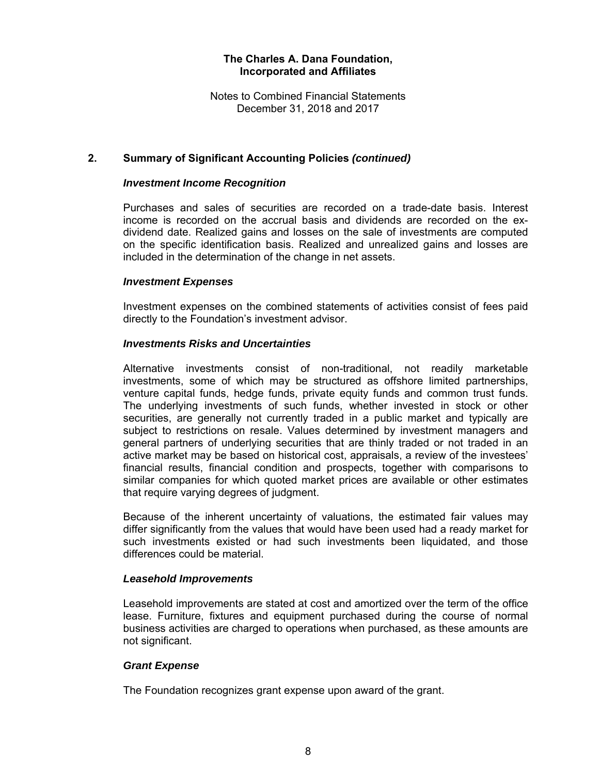Notes to Combined Financial Statements December 31, 2018 and 2017

## **2. Summary of Significant Accounting Policies** *(continued)*

#### *Investment Income Recognition*

Purchases and sales of securities are recorded on a trade-date basis. Interest income is recorded on the accrual basis and dividends are recorded on the exdividend date. Realized gains and losses on the sale of investments are computed on the specific identification basis. Realized and unrealized gains and losses are included in the determination of the change in net assets.

#### *Investment Expenses*

Investment expenses on the combined statements of activities consist of fees paid directly to the Foundation's investment advisor.

#### *Investments Risks and Uncertainties*

Alternative investments consist of non-traditional, not readily marketable investments, some of which may be structured as offshore limited partnerships, venture capital funds, hedge funds, private equity funds and common trust funds. The underlying investments of such funds, whether invested in stock or other securities, are generally not currently traded in a public market and typically are subject to restrictions on resale. Values determined by investment managers and general partners of underlying securities that are thinly traded or not traded in an active market may be based on historical cost, appraisals, a review of the investees' financial results, financial condition and prospects, together with comparisons to similar companies for which quoted market prices are available or other estimates that require varying degrees of judgment.

Because of the inherent uncertainty of valuations, the estimated fair values may differ significantly from the values that would have been used had a ready market for such investments existed or had such investments been liquidated, and those differences could be material.

#### *Leasehold Improvements*

Leasehold improvements are stated at cost and amortized over the term of the office lease. Furniture, fixtures and equipment purchased during the course of normal business activities are charged to operations when purchased, as these amounts are not significant.

#### *Grant Expense*

The Foundation recognizes grant expense upon award of the grant.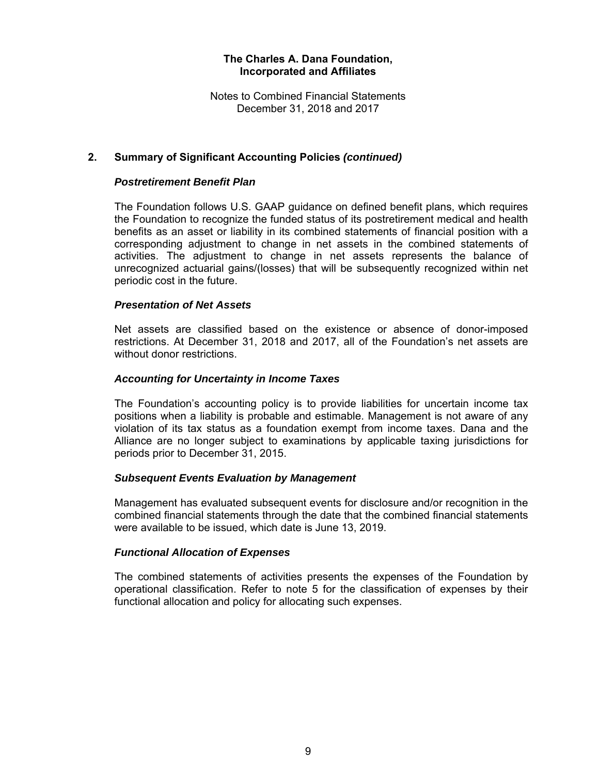Notes to Combined Financial Statements December 31, 2018 and 2017

## **2. Summary of Significant Accounting Policies** *(continued)*

#### *Postretirement Benefit Plan*

The Foundation follows U.S. GAAP guidance on defined benefit plans, which requires the Foundation to recognize the funded status of its postretirement medical and health benefits as an asset or liability in its combined statements of financial position with a corresponding adjustment to change in net assets in the combined statements of activities. The adjustment to change in net assets represents the balance of unrecognized actuarial gains/(losses) that will be subsequently recognized within net periodic cost in the future.

## *Presentation of Net Assets*

Net assets are classified based on the existence or absence of donor-imposed restrictions. At December 31, 2018 and 2017, all of the Foundation's net assets are without donor restrictions.

#### *Accounting for Uncertainty in Income Taxes*

The Foundation's accounting policy is to provide liabilities for uncertain income tax positions when a liability is probable and estimable. Management is not aware of any violation of its tax status as a foundation exempt from income taxes. Dana and the Alliance are no longer subject to examinations by applicable taxing jurisdictions for periods prior to December 31, 2015.

#### *Subsequent Events Evaluation by Management*

Management has evaluated subsequent events for disclosure and/or recognition in the combined financial statements through the date that the combined financial statements were available to be issued, which date is June 13, 2019.

#### *Functional Allocation of Expenses*

The combined statements of activities presents the expenses of the Foundation by operational classification. Refer to note 5 for the classification of expenses by their functional allocation and policy for allocating such expenses.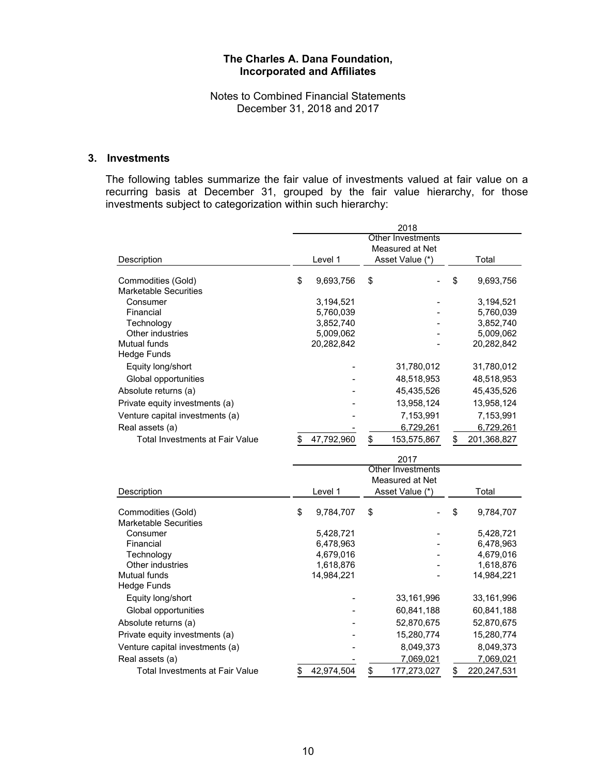Notes to Combined Financial Statements December 31, 2018 and 2017

## **3. Investments**

The following tables summarize the fair value of investments valued at fair value on a recurring basis at December 31, grouped by the fair value hierarchy, for those investments subject to categorization within such hierarchy:

|                                                    | 2018                     |            |    |                          |                                  |
|----------------------------------------------------|--------------------------|------------|----|--------------------------|----------------------------------|
|                                                    | <b>Other Investments</b> |            |    |                          |                                  |
|                                                    |                          |            |    | Measured at Net          |                                  |
| Description                                        |                          | Level 1    |    | Asset Value (*)          | Total                            |
| Commodities (Gold)<br><b>Marketable Securities</b> | \$                       | 9,693,756  | \$ |                          | \$<br>9,693,756                  |
| Consumer                                           |                          | 3,194,521  |    |                          | 3,194,521                        |
| Financial                                          |                          | 5,760,039  |    |                          | 5,760,039                        |
| Technology                                         |                          | 3,852,740  |    |                          | 3,852,740                        |
| Other industries                                   |                          | 5,009,062  |    |                          | 5,009,062                        |
| Mutual funds                                       |                          | 20,282,842 |    |                          | 20,282,842                       |
| <b>Hedge Funds</b>                                 |                          |            |    |                          |                                  |
| Equity long/short                                  |                          |            |    | 31,780,012               | 31,780,012                       |
| Global opportunities                               |                          |            |    | 48,518,953               | 48,518,953                       |
| Absolute returns (a)                               |                          |            |    | 45,435,526               | 45,435,526                       |
| Private equity investments (a)                     |                          |            |    | 13,958,124               | 13,958,124                       |
| Venture capital investments (a)                    |                          |            |    | 7,153,991                | 7,153,991                        |
| Real assets (a)                                    |                          |            |    | 6,729,261                | 6,729,261                        |
| Total Investments at Fair Value                    | \$                       | 47,792,960 | \$ | 153,575,867              | \$<br>201,368,827                |
|                                                    |                          |            |    | 2017                     |                                  |
|                                                    |                          |            |    | <b>Other Investments</b> |                                  |
|                                                    |                          |            |    | Measured at Net          |                                  |
| Description                                        |                          | Level 1    |    | Asset Value (*)          | Total                            |
| Commodities (Gold)<br><b>Marketable Securities</b> | \$                       | 9,784,707  | \$ |                          | \$<br>9,784,707                  |
| Consumer                                           |                          | 5,428,721  |    |                          | 5,428,721                        |
| Financial                                          |                          | 6,478,963  |    |                          | 6,478,963                        |
| Technology                                         |                          | 4,679,016  |    |                          | 4,679,016                        |
| Other industries                                   |                          | 1,618,876  |    |                          | 1,618,876                        |
| <b>Mutual funds</b><br><b>Hedge Funds</b>          |                          | 14,984,221 |    |                          | 14,984,221                       |
|                                                    |                          |            |    |                          |                                  |
| Equity long/short                                  |                          |            |    | 33,161,996               | 33,161,996                       |
| Global opportunities                               |                          |            |    | 60,841,188               | 60,841,188                       |
| Absolute returns (a)                               |                          |            |    | 52,870,675               | 52,870,675                       |
| Private equity investments (a)                     |                          |            |    | 15,280,774               | 15,280,774                       |
| Venture capital investments (a)                    |                          |            |    | 8,049,373                | 8,049,373                        |
| Real assets (a)                                    |                          |            |    |                          |                                  |
| Total Investments at Fair Value                    | \$                       | 42,974,504 | \$ | 7,069,021<br>177,273,027 | \$<br>7,069,021<br>220, 247, 531 |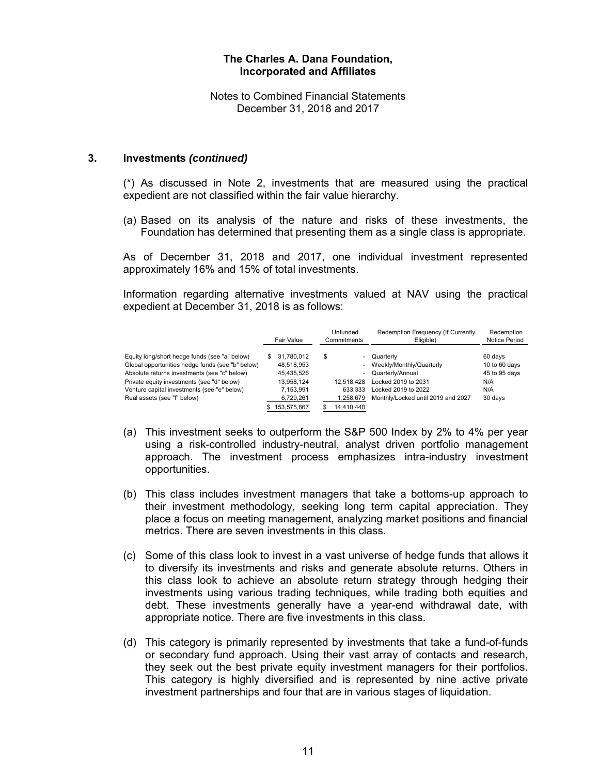Notes to Combined Financial Statements December 31, 2018 and 2017

#### **3. Investments** *(continued)*

(\*) As discussed in Note 2, investments that are measured using the practical expedient are not classified within the fair value hierarchy.

(a) Based on its analysis of the nature and risks of these investments, the Foundation has determined that presenting them as a single class is appropriate.

As of December 31, 2018 and 2017, one individual investment represented approximately 16% and 15% of total investments.

Information regarding alternative investments valued at NAV using the practical expedient at December 31, 2018 is as follows:

|                                                  |     | Fair Value  |     | Unfunded<br>Commitments  | Redemption Frequency (If Currently<br>Eligible) | Redemption<br><b>Notice Period</b> |
|--------------------------------------------------|-----|-------------|-----|--------------------------|-------------------------------------------------|------------------------------------|
| Equity long/short hedge funds (see "a" below)    | \$. | 31.780.012  | S   | $\sim$                   | Quarterly                                       | 60 days                            |
| Global opportunities hedge funds (see "b" below) |     | 48.518.953  |     | $\overline{\phantom{0}}$ | Weekly/Monthly/Quarterly                        | 10 to 60 days                      |
| Absolute returns investments (see "c" below)     |     | 45.435.526  |     | ۰.                       | Quarterly/Annual                                | 45 to 95 days                      |
| Private equity investments (see "d" below)       |     | 13.958.124  |     | 12.518.428               | Locked 2019 to 2031                             | N/A                                |
| Venture capital investments (see "e" below)      |     | 7,153,991   |     | 633.333                  | Locked 2019 to 2022                             | N/A                                |
| Real assets (see "f" below)                      |     | 6,729,261   |     | 1.258.679                | Monthly/Locked until 2019 and 2027              | 30 days                            |
|                                                  |     | 153,575,867 | \$. | 14,410,440               |                                                 |                                    |

- (a) This investment seeks to outperform the S&P 500 Index by 2% to 4% per year using a risk-controlled industry-neutral, analyst driven portfolio management approach. The investment process emphasizes intra-industry investment opportunities.
- (b) This class includes investment managers that take a bottoms-up approach to their investment methodology, seeking long term capital appreciation. They place a focus on meeting management, analyzing market positions and financial metrics. There are seven investments in this class.
- (c) Some of this class look to invest in a vast universe of hedge funds that allows it to diversify its investments and risks and generate absolute returns. Others in this class look to achieve an absolute return strategy through hedging their investments using various trading techniques, while trading both equities and debt. These investments generally have a year-end withdrawal date, with appropriate notice. There are five investments in this class.
- (d) This category is primarily represented by investments that take a fund-of-funds or secondary fund approach. Using their vast array of contacts and research, they seek out the best private equity investment managers for their portfolios. This category is highly diversified and is represented by nine active private investment partnerships and four that are in various stages of liquidation.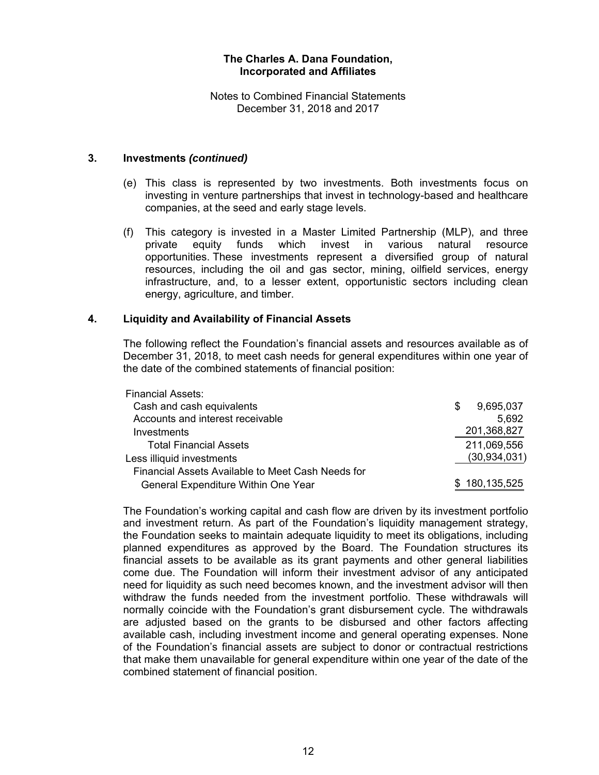Notes to Combined Financial Statements December 31, 2018 and 2017

### **3. Investments** *(continued)*

- (e) This class is represented by two investments. Both investments focus on investing in venture partnerships that invest in technology-based and healthcare companies, at the seed and early stage levels.
- (f) This category is invested in a Master Limited Partnership (MLP), and three private equity funds which invest in various natural resource opportunities. These investments represent a diversified group of natural resources, including the oil and gas sector, mining, oilfield services, energy infrastructure, and, to a lesser extent, opportunistic sectors including clean energy, agriculture, and timber.

## **4. Liquidity and Availability of Financial Assets**

The following reflect the Foundation's financial assets and resources available as of December 31, 2018, to meet cash needs for general expenditures within one year of the date of the combined statements of financial position:

| <b>Financial Assets:</b>                          |   |                |
|---------------------------------------------------|---|----------------|
| Cash and cash equivalents                         | S | 9,695,037      |
| Accounts and interest receivable                  |   | 5.692          |
| Investments                                       |   | 201,368,827    |
| <b>Total Financial Assets</b>                     |   | 211,069,556    |
| Less illiquid investments                         |   | (30, 934, 031) |
| Financial Assets Available to Meet Cash Needs for |   |                |
| General Expenditure Within One Year               |   | \$180,135,525  |
|                                                   |   |                |

The Foundation's working capital and cash flow are driven by its investment portfolio and investment return. As part of the Foundation's liquidity management strategy, the Foundation seeks to maintain adequate liquidity to meet its obligations, including planned expenditures as approved by the Board. The Foundation structures its financial assets to be available as its grant payments and other general liabilities come due. The Foundation will inform their investment advisor of any anticipated need for liquidity as such need becomes known, and the investment advisor will then withdraw the funds needed from the investment portfolio. These withdrawals will normally coincide with the Foundation's grant disbursement cycle. The withdrawals are adjusted based on the grants to be disbursed and other factors affecting available cash, including investment income and general operating expenses. None of the Foundation's financial assets are subject to donor or contractual restrictions that make them unavailable for general expenditure within one year of the date of the combined statement of financial position.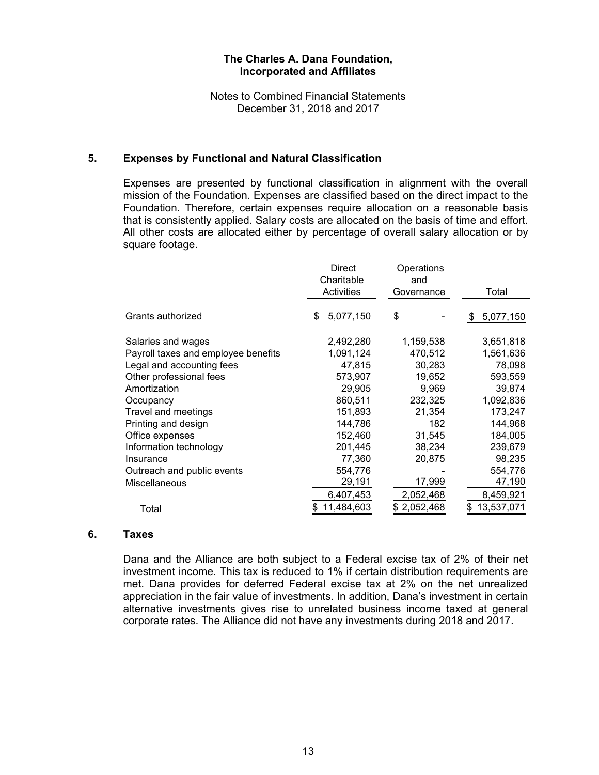Notes to Combined Financial Statements December 31, 2018 and 2017

### **5. Expenses by Functional and Natural Classification**

Expenses are presented by functional classification in alignment with the overall mission of the Foundation. Expenses are classified based on the direct impact to the Foundation. Therefore, certain expenses require allocation on a reasonable basis that is consistently applied. Salary costs are allocated on the basis of time and effort. All other costs are allocated either by percentage of overall salary allocation or by square footage.

|                                     | Direct<br>Charitable<br>Activities | Operations<br>and<br>Governance | Total          |
|-------------------------------------|------------------------------------|---------------------------------|----------------|
| Grants authorized                   | 5,077,150<br>S                     | \$                              | 5,077,150<br>S |
|                                     |                                    |                                 |                |
| Salaries and wages                  | 2,492,280                          | 1,159,538                       | 3,651,818      |
| Payroll taxes and employee benefits | 1,091,124                          | 470,512                         | 1,561,636      |
| Legal and accounting fees           | 47,815                             | 30,283                          | 78,098         |
| Other professional fees             | 573,907                            | 19,652                          | 593,559        |
| Amortization                        | 29,905                             | 9,969                           | 39,874         |
| Occupancy                           | 860,511                            | 232,325                         | 1,092,836      |
| Travel and meetings                 | 151,893                            | 21,354                          | 173,247        |
| Printing and design                 | 144,786                            | 182                             | 144,968        |
| Office expenses                     | 152,460                            | 31,545                          | 184,005        |
| Information technology              | 201,445                            | 38,234                          | 239,679        |
| Insurance                           | 77,360                             | 20,875                          | 98,235         |
| Outreach and public events          | 554,776                            |                                 | 554,776        |
| Miscellaneous                       | 29,191                             | 17,999                          | 47,190         |
|                                     | 6,407,453                          | 2,052,468                       | 8,459,921      |
| Total                               | 11,484,603                         | 2,052,468                       | 13,537,071     |

### **6. Taxes**

Dana and the Alliance are both subject to a Federal excise tax of 2% of their net investment income. This tax is reduced to 1% if certain distribution requirements are met. Dana provides for deferred Federal excise tax at 2% on the net unrealized appreciation in the fair value of investments. In addition, Dana's investment in certain alternative investments gives rise to unrelated business income taxed at general corporate rates. The Alliance did not have any investments during 2018 and 2017.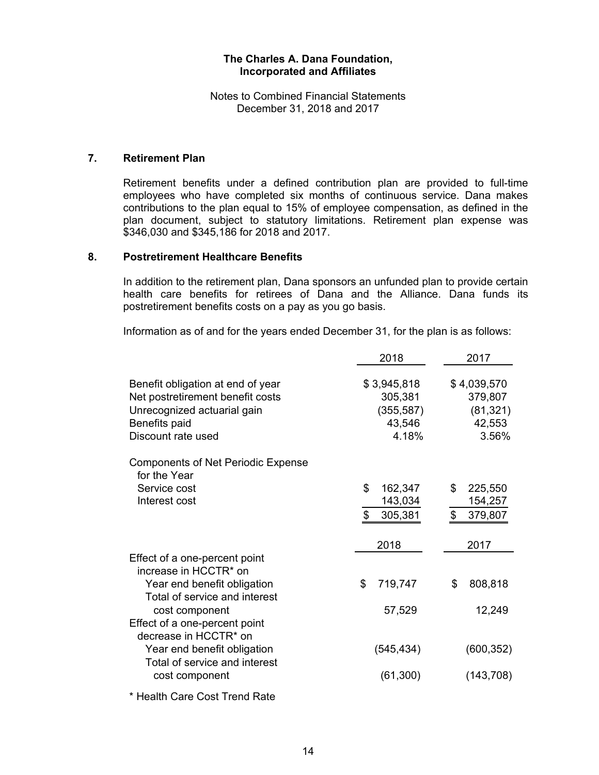Notes to Combined Financial Statements December 31, 2018 and 2017

## **7. Retirement Plan**

Retirement benefits under a defined contribution plan are provided to full-time employees who have completed six months of continuous service. Dana makes contributions to the plan equal to 15% of employee compensation, as defined in the plan document, subject to statutory limitations. Retirement plan expense was \$346,030 and \$345,186 for 2018 and 2017.

#### **8. Postretirement Healthcare Benefits**

In addition to the retirement plan, Dana sponsors an unfunded plan to provide certain health care benefits for retirees of Dana and the Alliance. Dana funds its postretirement benefits costs on a pay as you go basis.

Information as of and for the years ended December 31, for the plan is as follows:

|                                                                                                                                             | 2018                                                    | 2017                                                   |
|---------------------------------------------------------------------------------------------------------------------------------------------|---------------------------------------------------------|--------------------------------------------------------|
| Benefit obligation at end of year<br>Net postretirement benefit costs<br>Unrecognized actuarial gain<br>Benefits paid<br>Discount rate used | \$3,945,818<br>305,381<br>(355, 587)<br>43,546<br>4.18% | \$4,039,570<br>379,807<br>(81, 321)<br>42,553<br>3.56% |
| <b>Components of Net Periodic Expense</b><br>for the Year                                                                                   |                                                         |                                                        |
| Service cost<br>Interest cost                                                                                                               | \$<br>162,347<br>143,034<br>305,381<br>\$               | \$<br>225,550<br>154,257<br>$\mathfrak{S}$<br>379,807  |
|                                                                                                                                             | 2018                                                    | 2017                                                   |
| Effect of a one-percent point<br>increase in HCCTR* on<br>Year end benefit obligation<br>Total of service and interest                      | \$<br>719,747                                           | \$<br>808,818                                          |
| cost component<br>Effect of a one-percent point<br>decrease in HCCTR* on                                                                    | 57,529                                                  | 12,249                                                 |
| Year end benefit obligation<br>Total of service and interest<br>cost component                                                              | (545, 434)<br>(61, 300)                                 | (600, 352)<br>(143, 708)                               |
| $\cdots$ $\sim$ $\sim$ $\cdots$                                                                                                             |                                                         |                                                        |

\* Health Care Cost Trend Rate